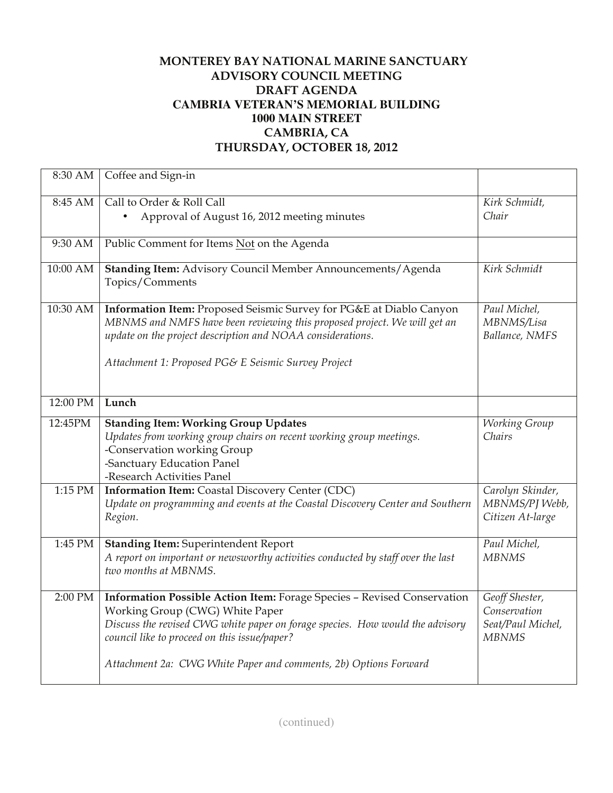## **MONTEREY BAY NATIONAL MARINE SANCTUARY ADVISORY COUNCIL MEETING DRAFT AGENDA CAMBRIA VETERAN'S MEMORIAL BUILDING 1000 MAIN STREET CAMBRIA, CA THURSDAY, OCTOBER 18, 2012**

| 8:30 AM   | Coffee and Sign-in                                                                                                                                                                                                                                                                                              |                                                                     |
|-----------|-----------------------------------------------------------------------------------------------------------------------------------------------------------------------------------------------------------------------------------------------------------------------------------------------------------------|---------------------------------------------------------------------|
| 8:45 AM   | Call to Order & Roll Call<br>Approval of August 16, 2012 meeting minutes                                                                                                                                                                                                                                        | Kirk Schmidt,<br>Chair                                              |
| 9:30 AM   | Public Comment for Items Not on the Agenda                                                                                                                                                                                                                                                                      |                                                                     |
| 10:00 AM  | Standing Item: Advisory Council Member Announcements/Agenda<br>Topics/Comments                                                                                                                                                                                                                                  | Kirk Schmidt                                                        |
| 10:30 AM  | Information Item: Proposed Seismic Survey for PG&E at Diablo Canyon<br>MBNMS and NMFS have been reviewing this proposed project. We will get an<br>update on the project description and NOAA considerations.<br>Attachment 1: Proposed PG& E Seismic Survey Project                                            | Paul Michel,<br>MBNMS/Lisa<br>Ballance, NMFS                        |
| 12:00 PM  | Lunch                                                                                                                                                                                                                                                                                                           |                                                                     |
| 12:45PM   | <b>Standing Item: Working Group Updates</b><br>Updates from working group chairs on recent working group meetings.<br>-Conservation working Group<br>-Sanctuary Education Panel<br>-Research Activities Panel                                                                                                   | Working Group<br>Chairs                                             |
| $1:15$ PM | Information Item: Coastal Discovery Center (CDC)<br>Update on programming and events at the Coastal Discovery Center and Southern<br>Region.                                                                                                                                                                    | Carolyn Skinder,<br>MBNMS/PJ Webb,<br>Citizen At-large              |
| 1:45 PM   | <b>Standing Item: Superintendent Report</b><br>A report on important or newsworthy activities conducted by staff over the last<br>two months at MBNMS.                                                                                                                                                          | Paul Michel,<br><b>MBNMS</b>                                        |
| 2:00 PM   | Information Possible Action Item: Forage Species - Revised Conservation<br>Working Group (CWG) White Paper<br>Discuss the revised CWG white paper on forage species. How would the advisory<br>council like to proceed on this issue/paper?<br>Attachment 2a: CWG White Paper and comments, 2b) Options Forward | Geoff Shester,<br>Conservation<br>Seat/Paul Michel,<br><b>MBNMS</b> |